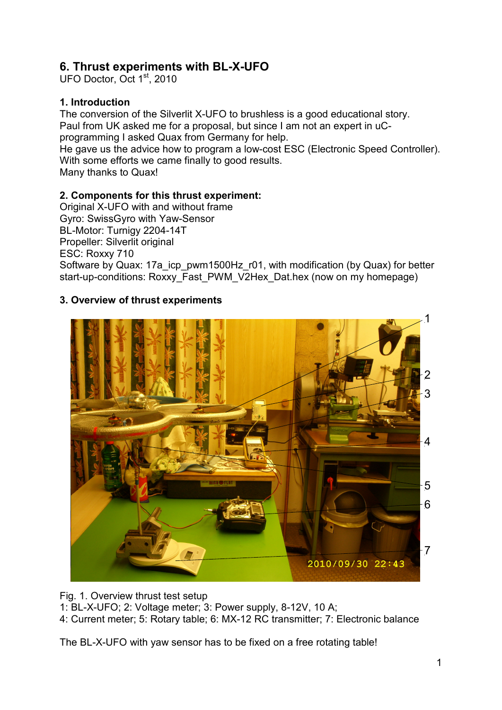# **6. Thrust experiments with BL-X-UFO**

UFO Doctor, Oct 1<sup>st</sup>, 2010

### **1. Introduction**

The conversion of the Silverlit X-UFO to brushless is a good educational story. Paul from UK asked me for a proposal, but since I am not an expert in uCprogramming I asked Quax from Germany for help.

He gave us the advice how to program a low-cost ESC (Electronic Speed Controller). With some efforts we came finally to good results.

Many thanks to Quax!

### **2. Components for this thrust experiment:**

Original X-UFO with and without frame Gyro: SwissGyro with Yaw-Sensor BL-Motor: Turnigy 2204-14T Propeller: Silverlit original ESC: Roxxy 710 Software by Quax: 17a\_icp\_pwm1500Hz\_r01, with modification (by Quax) for better start-up-conditions: Roxxy\_Fast\_PWM\_V2Hex\_Dat.hex (now on my homepage)

# **3. Overview of thrust experiments**



Fig. 1. Overview thrust test setup 1: BL-X-UFO; 2: Voltage meter; 3: Power supply, 8-12V, 10 A; 4: Current meter; 5: Rotary table; 6: MX-12 RC transmitter; 7: Electronic balance

The BL-X-UFO with yaw sensor has to be fixed on a free rotating table!